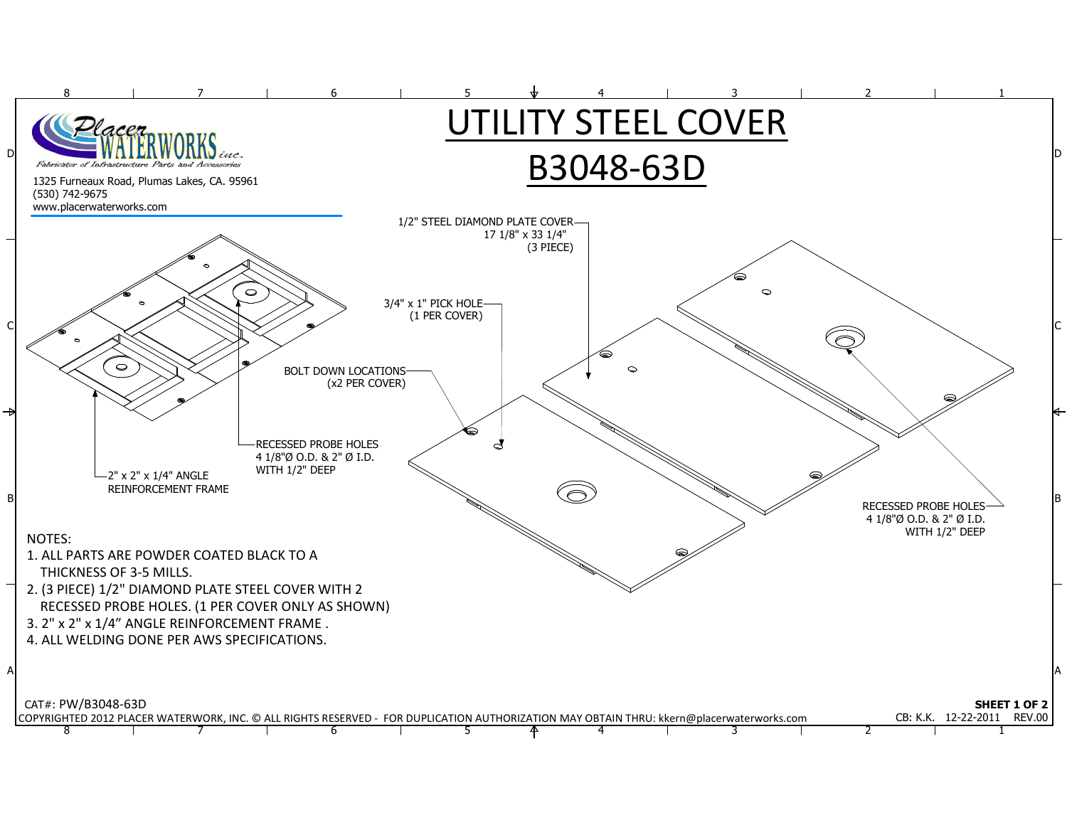